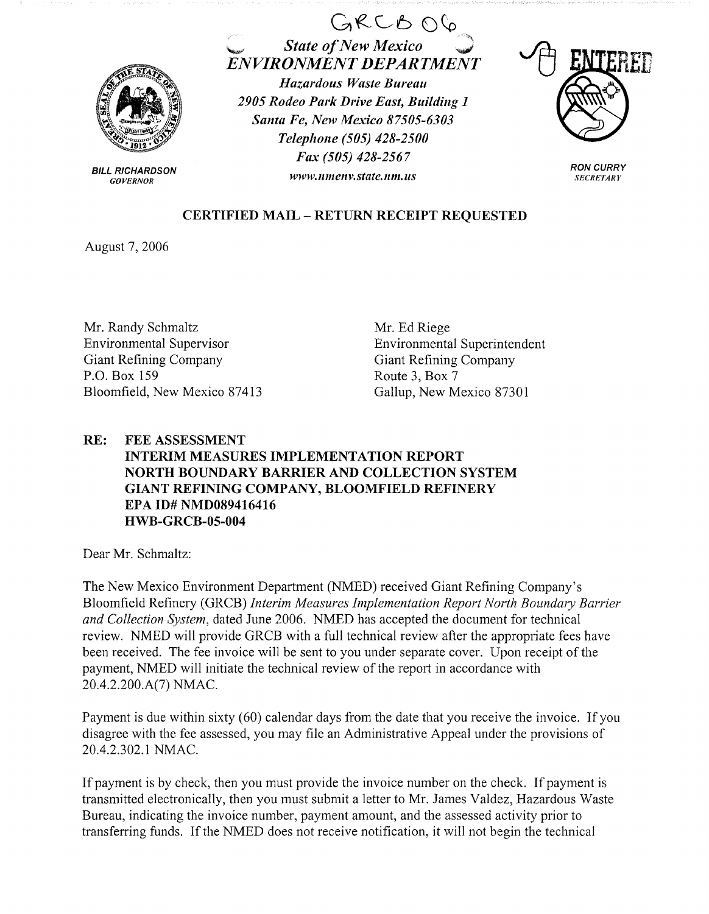

BILL RICHARDSON *GOVERNOR* 

## $GRCBOC$ ~ *State of New Mexico ENVIRONMENT DEPARTMENT Hazardous Waste Bureau 2905 Rodeo Park Drive East, Building 1 Santa Fe, New Mexico 87505-6303 Telephone (505) 428-2500 Fax (505) 428-2567 www.11me11v.state.11m.us*



**RON CURRY**  *SECRETARY* 

## **CERTIFIED MAIL** - **RETURN RECEIPT REQUESTED**

August 7, 2006

Mr. Randy Schmaltz Environmental Supervisor Giant Refining Company P.O. Box 159 Bloomfield, New Mexico 87413 Mr. Ed Riege Environmental Superintendent Giant Refining Company Route 3, Box 7 Gallup, New Mexico 87301

## **RE: FEE ASSESSMENT INTERIM MEASURES IMPLEMENTATION REPORT NORTH BOUNDARY BARRIER AND COLLECTION SYSTEM GIANT REFINING COMPANY, BLOOMFIELD REFINERY EPA ID# NMD089416416 HWB-GRCB-05-004**

Dear Mr. Schmaltz:

The New Mexico Environment Department (NMED) received Giant Refining Company's Bloomfield Refinery (GRCB) *Interim Measures Implementation Report North Boundary Barrier and Collection System,* dated June 2006. NMED has accepted the document for technical review. NMED will provide GRCB with a full technical review after the appropriate fees have been received. The fee invoice will be sent to you under separate cover. Upon receipt of the payment, NMED will initiate the technical review of the report in accordance with 20.4.2.200.A(7) NMAC.

Payment is due within sixty (60) calendar days from the date that you receive the invoice. If you disagree with the fee assessed, you may file an Administrative Appeal under the provisions of 20.4.2.302.1 NMAC.

If payment is by check, then you must provide the invoice number on the check. If payment is transmitted electronically, then you must submit a letter to Mr. James Valdez, Hazardous Waste Bureau, indicating the invoice number, payment amount, and the assessed activity prior to transferring funds. If the NMED does not receive notification, it will not begin the technical